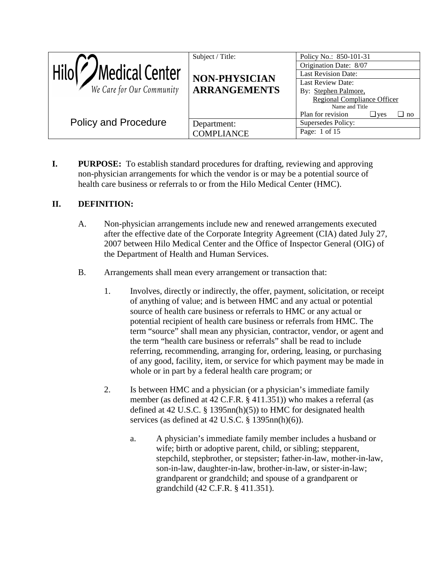| Medical Center<br>We Care for Our Community | Subject / Title:<br>NON-PHYSICIAN<br><b>ARRANGEMENTS</b> | Policy No.: 850-101-31<br>Origination Date: 8/07<br><b>Last Revision Date:</b><br>Last Review Date:<br>By: Stephen Palmore,<br><b>Regional Compliance Officer</b><br>Name and Title |
|---------------------------------------------|----------------------------------------------------------|-------------------------------------------------------------------------------------------------------------------------------------------------------------------------------------|
| <b>Policy and Procedure</b>                 | Department:<br><b>COMPLIANCE</b>                         | Plan for revision<br>$\sqcup$ yes<br>$\Box$ no<br>Supersedes Policy:<br>Page: 1 of 15                                                                                               |

**I. PURPOSE:** To establish standard procedures for drafting, reviewing and approving non-physician arrangements for which the vendor is or may be a potential source of health care business or referrals to or from the Hilo Medical Center (HMC).

### **II. DEFINITION:**

- A. Non-physician arrangements include new and renewed arrangements executed after the effective date of the Corporate Integrity Agreement (CIA) dated July 27, 2007 between Hilo Medical Center and the Office of Inspector General (OIG) of the Department of Health and Human Services.
- B. Arrangements shall mean every arrangement or transaction that:
	- 1. Involves, directly or indirectly, the offer, payment, solicitation, or receipt of anything of value; and is between HMC and any actual or potential source of health care business or referrals to HMC or any actual or potential recipient of health care business or referrals from HMC. The term "source" shall mean any physician, contractor, vendor, or agent and the term "health care business or referrals" shall be read to include referring, recommending, arranging for, ordering, leasing, or purchasing of any good, facility, item, or service for which payment may be made in whole or in part by a federal health care program; or
	- 2. Is between HMC and a physician (or a physician's immediate family member (as defined at 42 C.F.R. § 411.351)) who makes a referral (as defined at 42 U.S.C. § 1395nn(h)(5)) to HMC for designated health services (as defined at 42 U.S.C. § 1395nn(h)(6)).
		- a. A physician's immediate family member includes a husband or wife; birth or adoptive parent, child, or sibling; stepparent, stepchild, stepbrother, or stepsister; father-in-law, mother-in-law, son-in-law, daughter-in-law, brother-in-law, or sister-in-law; grandparent or grandchild; and spouse of a grandparent or grandchild (42 C.F.R. § 411.351).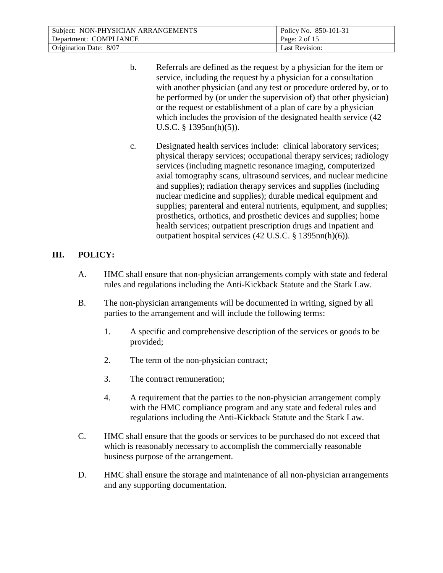| Subject: NON-PHYSICIAN ARRANGEMENTS | Policy No. 850-101-31 |
|-------------------------------------|-----------------------|
| Department: COMPLIANCE              | Page: $2$ of 15       |
| Origination Date: 8/07              | Last Revision:        |

- b. Referrals are defined as the request by a physician for the item or service, including the request by a physician for a consultation with another physician (and any test or procedure ordered by, or to be performed by (or under the supervision of) that other physician) or the request or establishment of a plan of care by a physician which includes the provision of the designated health service (42 U.S.C. § 1395nn(h)(5)).
- c. Designated health services include: clinical laboratory services; physical therapy services; occupational therapy services; radiology services (including magnetic resonance imaging, computerized axial tomography scans, ultrasound services, and nuclear medicine and supplies); radiation therapy services and supplies (including nuclear medicine and supplies); durable medical equipment and supplies; parenteral and enteral nutrients, equipment, and supplies; prosthetics, orthotics, and prosthetic devices and supplies; home health services; outpatient prescription drugs and inpatient and outpatient hospital services (42 U.S.C. § 1395nn(h)(6)).

#### **III. POLICY:**

- A. HMC shall ensure that non-physician arrangements comply with state and federal rules and regulations including the Anti-Kickback Statute and the Stark Law.
- B. The non-physician arrangements will be documented in writing, signed by all parties to the arrangement and will include the following terms:
	- 1. A specific and comprehensive description of the services or goods to be provided;
	- 2. The term of the non-physician contract;
	- 3. The contract remuneration;
	- 4. A requirement that the parties to the non-physician arrangement comply with the HMC compliance program and any state and federal rules and regulations including the Anti-Kickback Statute and the Stark Law.
- C. HMC shall ensure that the goods or services to be purchased do not exceed that which is reasonably necessary to accomplish the commercially reasonable business purpose of the arrangement.
- D. HMC shall ensure the storage and maintenance of all non-physician arrangements and any supporting documentation.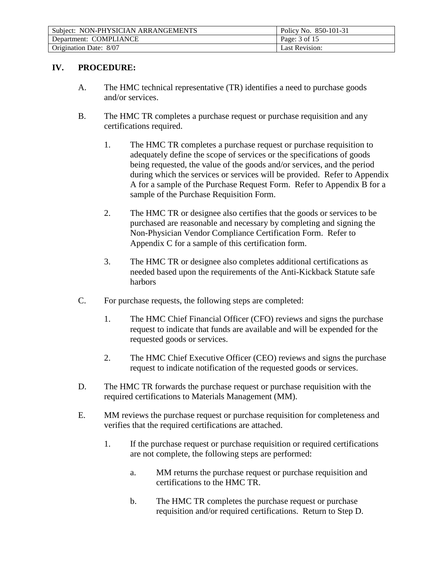| Subject: NON-PHYSICIAN ARRANGEMENTS | Policy No. 850-101-31 |
|-------------------------------------|-----------------------|
| Department: COMPLIANCE              | Page: 3 of 15         |
| Origination Date: 8/07              | <b>Last Revision:</b> |

#### **IV. PROCEDURE:**

- A. The HMC technical representative (TR) identifies a need to purchase goods and/or services.
- B. The HMC TR completes a purchase request or purchase requisition and any certifications required.
	- 1. The HMC TR completes a purchase request or purchase requisition to adequately define the scope of services or the specifications of goods being requested, the value of the goods and/or services, and the period during which the services or services will be provided. Refer to Appendix A for a sample of the Purchase Request Form. Refer to Appendix B for a sample of the Purchase Requisition Form.
	- 2. The HMC TR or designee also certifies that the goods or services to be purchased are reasonable and necessary by completing and signing the Non-Physician Vendor Compliance Certification Form. Refer to Appendix C for a sample of this certification form.
	- 3. The HMC TR or designee also completes additional certifications as needed based upon the requirements of the Anti-Kickback Statute safe harbors
- C. For purchase requests, the following steps are completed:
	- 1. The HMC Chief Financial Officer (CFO) reviews and signs the purchase request to indicate that funds are available and will be expended for the requested goods or services.
	- 2. The HMC Chief Executive Officer (CEO) reviews and signs the purchase request to indicate notification of the requested goods or services.
- D. The HMC TR forwards the purchase request or purchase requisition with the required certifications to Materials Management (MM).
- E. MM reviews the purchase request or purchase requisition for completeness and verifies that the required certifications are attached.
	- 1. If the purchase request or purchase requisition or required certifications are not complete, the following steps are performed:
		- a. MM returns the purchase request or purchase requisition and certifications to the HMC TR.
		- b. The HMC TR completes the purchase request or purchase requisition and/or required certifications. Return to Step D.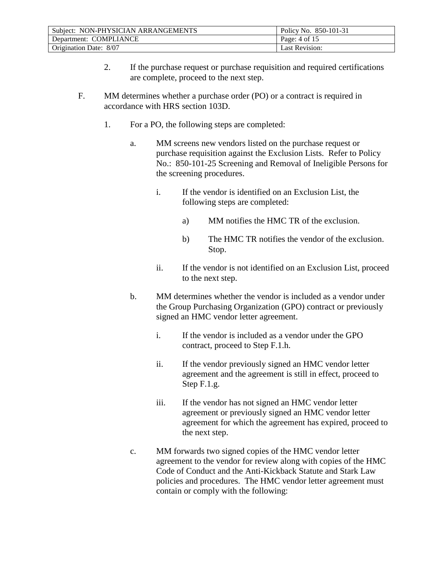| Subject: NON-PHYSICIAN ARRANGEMENTS | Policy No. 850-101-31 |
|-------------------------------------|-----------------------|
| Department: COMPLIANCE              | Page: 4 of 15         |
| Origination Date: 8/07              | Last Revision:        |

- 2. If the purchase request or purchase requisition and required certifications are complete, proceed to the next step.
- F. MM determines whether a purchase order (PO) or a contract is required in accordance with HRS section 103D.
	- 1. For a PO, the following steps are completed:
		- a. MM screens new vendors listed on the purchase request or purchase requisition against the Exclusion Lists. Refer to Policy No.: 850-101-25 Screening and Removal of Ineligible Persons for the screening procedures.
			- i. If the vendor is identified on an Exclusion List, the following steps are completed:
				- a) MM notifies the HMC TR of the exclusion.
				- b) The HMC TR notifies the vendor of the exclusion. Stop.
			- ii. If the vendor is not identified on an Exclusion List, proceed to the next step.
		- b. MM determines whether the vendor is included as a vendor under the Group Purchasing Organization (GPO) contract or previously signed an HMC vendor letter agreement.
			- i. If the vendor is included as a vendor under the GPO contract, proceed to Step F.1.h.
			- ii. If the vendor previously signed an HMC vendor letter agreement and the agreement is still in effect, proceed to Step F.1.g.
			- iii. If the vendor has not signed an HMC vendor letter agreement or previously signed an HMC vendor letter agreement for which the agreement has expired, proceed to the next step.
		- c. MM forwards two signed copies of the HMC vendor letter agreement to the vendor for review along with copies of the HMC Code of Conduct and the Anti-Kickback Statute and Stark Law policies and procedures. The HMC vendor letter agreement must contain or comply with the following: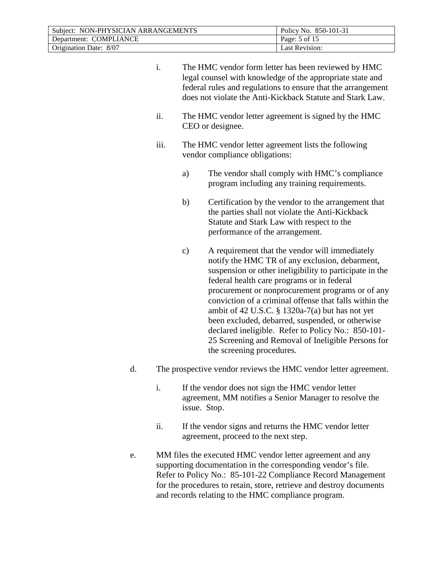| Subject: NON-PHYSICIAN ARRANGEMENTS | Policy No. 850-101-31 |
|-------------------------------------|-----------------------|
| Department: COMPLIANCE              | Page: 5 of 15         |
| Origination Date: 8/07              | Last Revision:        |

| i.   |                                                                                       | The HMC vendor form letter has been reviewed by HMC<br>legal counsel with knowledge of the appropriate state and<br>federal rules and regulations to ensure that the arrangement<br>does not violate the Anti-Kickback Statute and Stark Law.                                                                                                                                                                                                                                                                                                                              |
|------|---------------------------------------------------------------------------------------|----------------------------------------------------------------------------------------------------------------------------------------------------------------------------------------------------------------------------------------------------------------------------------------------------------------------------------------------------------------------------------------------------------------------------------------------------------------------------------------------------------------------------------------------------------------------------|
| ii.  | The HMC vendor letter agreement is signed by the HMC<br>CEO or designee.              |                                                                                                                                                                                                                                                                                                                                                                                                                                                                                                                                                                            |
| iii. | The HMC vendor letter agreement lists the following<br>vendor compliance obligations: |                                                                                                                                                                                                                                                                                                                                                                                                                                                                                                                                                                            |
|      | a)                                                                                    | The vendor shall comply with HMC's compliance<br>program including any training requirements.                                                                                                                                                                                                                                                                                                                                                                                                                                                                              |
|      | b)                                                                                    | Certification by the vendor to the arrangement that<br>the parties shall not violate the Anti-Kickback<br>Statute and Stark Law with respect to the<br>performance of the arrangement.                                                                                                                                                                                                                                                                                                                                                                                     |
|      | $\mathbf{c})$                                                                         | A requirement that the vendor will immediately<br>notify the HMC TR of any exclusion, debarment,<br>suspension or other ineligibility to participate in the<br>federal health care programs or in federal<br>procurement or nonprocurement programs or of any<br>conviction of a criminal offense that falls within the<br>ambit of 42 U.S.C. $\S$ 1320a-7(a) but has not yet<br>been excluded, debarred, suspended, or otherwise<br>declared ineligible. Refer to Policy No.: 850-101-<br>25 Screening and Removal of Ineligible Persons for<br>the screening procedures. |

- d. The prospective vendor reviews the HMC vendor letter agreement.
	- i. If the vendor does not sign the HMC vendor letter agreement, MM notifies a Senior Manager to resolve the issue. Stop.
	- ii. If the vendor signs and returns the HMC vendor letter agreement, proceed to the next step.
- e. MM files the executed HMC vendor letter agreement and any supporting documentation in the corresponding vendor's file. Refer to Policy No.: 85-101-22 Compliance Record Management for the procedures to retain, store, retrieve and destroy documents and records relating to the HMC compliance program.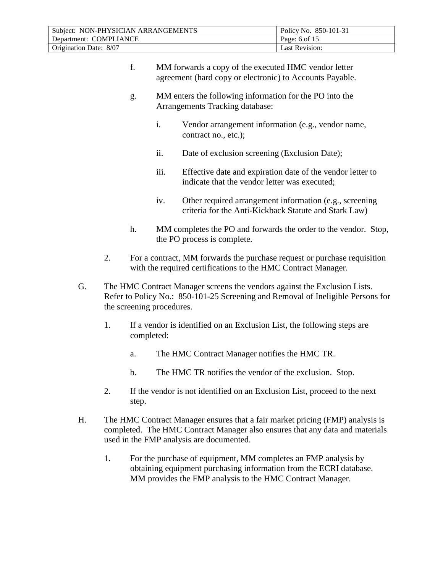| Subject: NON-PHYSICIAN ARRANGEMENTS | Policy No. 850-101-31 |
|-------------------------------------|-----------------------|
| Department: COMPLIANCE              | Page: 6 of $15$       |
| Origination Date: 8/07              | <b>Last Revision:</b> |

- f. MM forwards a copy of the executed HMC vendor letter agreement (hard copy or electronic) to Accounts Payable.
- g. MM enters the following information for the PO into the Arrangements Tracking database:
	- i. Vendor arrangement information (e.g., vendor name, contract no., etc.);
	- ii. Date of exclusion screening (Exclusion Date);
	- iii. Effective date and expiration date of the vendor letter to indicate that the vendor letter was executed;
	- iv. Other required arrangement information (e.g., screening criteria for the Anti-Kickback Statute and Stark Law)
- h. MM completes the PO and forwards the order to the vendor. Stop, the PO process is complete.
- 2. For a contract, MM forwards the purchase request or purchase requisition with the required certifications to the HMC Contract Manager.
- G. The HMC Contract Manager screens the vendors against the Exclusion Lists. Refer to Policy No.: 850-101-25 Screening and Removal of Ineligible Persons for the screening procedures.
	- 1. If a vendor is identified on an Exclusion List, the following steps are completed:
		- a. The HMC Contract Manager notifies the HMC TR.
		- b. The HMC TR notifies the vendor of the exclusion. Stop.
	- 2. If the vendor is not identified on an Exclusion List, proceed to the next step.
- H. The HMC Contract Manager ensures that a fair market pricing (FMP) analysis is completed. The HMC Contract Manager also ensures that any data and materials used in the FMP analysis are documented.
	- 1. For the purchase of equipment, MM completes an FMP analysis by obtaining equipment purchasing information from the ECRI database. MM provides the FMP analysis to the HMC Contract Manager.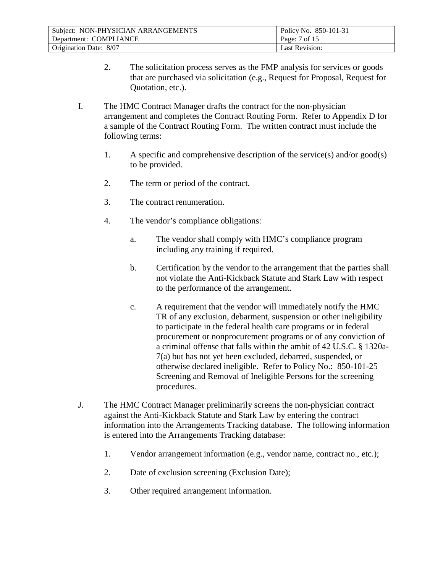| Subject: NON-PHYSICIAN ARRANGEMENTS | Policy No. 850-101-31 |
|-------------------------------------|-----------------------|
| Department: COMPLIANCE              | Page: 7 of 15         |
| Origination Date: 8/07              | Last Revision:        |

- 2. The solicitation process serves as the FMP analysis for services or goods that are purchased via solicitation (e.g., Request for Proposal, Request for Quotation, etc.).
- I. The HMC Contract Manager drafts the contract for the non-physician arrangement and completes the Contract Routing Form. Refer to Appendix D for a sample of the Contract Routing Form. The written contract must include the following terms:
	- 1. A specific and comprehensive description of the service(s) and/or good(s) to be provided.
	- 2. The term or period of the contract.
	- 3. The contract renumeration.
	- 4. The vendor's compliance obligations:
		- a. The vendor shall comply with HMC's compliance program including any training if required.
		- b. Certification by the vendor to the arrangement that the parties shall not violate the Anti-Kickback Statute and Stark Law with respect to the performance of the arrangement.
		- c. A requirement that the vendor will immediately notify the HMC TR of any exclusion, debarment, suspension or other ineligibility to participate in the federal health care programs or in federal procurement or nonprocurement programs or of any conviction of a criminal offense that falls within the ambit of 42 U.S.C. § 1320a-7(a) but has not yet been excluded, debarred, suspended, or otherwise declared ineligible. Refer to Policy No.: 850-101-25 Screening and Removal of Ineligible Persons for the screening procedures.
- J. The HMC Contract Manager preliminarily screens the non-physician contract against the Anti-Kickback Statute and Stark Law by entering the contract information into the Arrangements Tracking database. The following information is entered into the Arrangements Tracking database:
	- 1. Vendor arrangement information (e.g., vendor name, contract no., etc.);
	- 2. Date of exclusion screening (Exclusion Date);
	- 3. Other required arrangement information.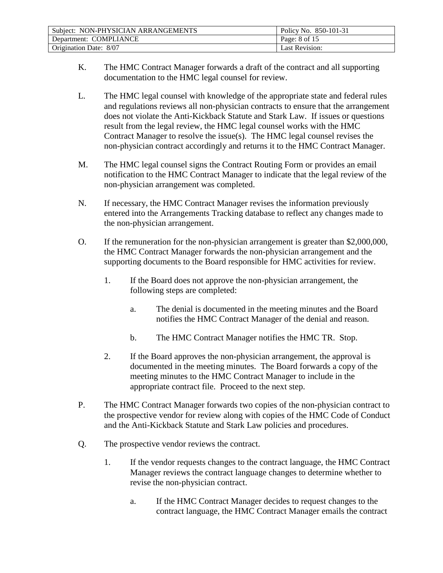| Subject: NON-PHYSICIAN ARRANGEMENTS | Policy No. 850-101-31 |
|-------------------------------------|-----------------------|
| Department: COMPLIANCE              | Page: 8 of 15         |
| Origination Date: 8/07              | <b>Last Revision:</b> |

- K. The HMC Contract Manager forwards a draft of the contract and all supporting documentation to the HMC legal counsel for review.
- L. The HMC legal counsel with knowledge of the appropriate state and federal rules and regulations reviews all non-physician contracts to ensure that the arrangement does not violate the Anti-Kickback Statute and Stark Law. If issues or questions result from the legal review, the HMC legal counsel works with the HMC Contract Manager to resolve the issue(s). The HMC legal counsel revises the non-physician contract accordingly and returns it to the HMC Contract Manager.
- M. The HMC legal counsel signs the Contract Routing Form or provides an email notification to the HMC Contract Manager to indicate that the legal review of the non-physician arrangement was completed.
- N. If necessary, the HMC Contract Manager revises the information previously entered into the Arrangements Tracking database to reflect any changes made to the non-physician arrangement.
- O. If the remuneration for the non-physician arrangement is greater than \$2,000,000, the HMC Contract Manager forwards the non-physician arrangement and the supporting documents to the Board responsible for HMC activities for review.
	- 1. If the Board does not approve the non-physician arrangement, the following steps are completed:
		- a. The denial is documented in the meeting minutes and the Board notifies the HMC Contract Manager of the denial and reason.
		- b. The HMC Contract Manager notifies the HMC TR. Stop.
	- 2. If the Board approves the non-physician arrangement, the approval is documented in the meeting minutes. The Board forwards a copy of the meeting minutes to the HMC Contract Manager to include in the appropriate contract file. Proceed to the next step.
- P. The HMC Contract Manager forwards two copies of the non-physician contract to the prospective vendor for review along with copies of the HMC Code of Conduct and the Anti-Kickback Statute and Stark Law policies and procedures.
- Q. The prospective vendor reviews the contract.
	- 1. If the vendor requests changes to the contract language, the HMC Contract Manager reviews the contract language changes to determine whether to revise the non-physician contract.
		- a. If the HMC Contract Manager decides to request changes to the contract language, the HMC Contract Manager emails the contract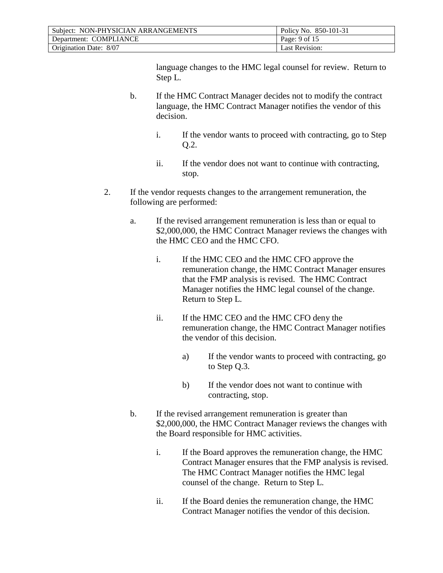| Subject: NON-PHYSICIAN ARRANGEMENTS | Policy No. 850-101-31 |
|-------------------------------------|-----------------------|
| Department: COMPLIANCE              | Page: 9 of 15         |
| Origination Date: 8/07              | Last Revision:        |

language changes to the HMC legal counsel for review. Return to Step L.

- b. If the HMC Contract Manager decides not to modify the contract language, the HMC Contract Manager notifies the vendor of this decision.
	- i. If the vendor wants to proceed with contracting, go to Step Q.2.
	- ii. If the vendor does not want to continue with contracting, stop.
- 2. If the vendor requests changes to the arrangement remuneration, the following are performed:
	- a. If the revised arrangement remuneration is less than or equal to \$2,000,000, the HMC Contract Manager reviews the changes with the HMC CEO and the HMC CFO.
		- i. If the HMC CEO and the HMC CFO approve the remuneration change, the HMC Contract Manager ensures that the FMP analysis is revised. The HMC Contract Manager notifies the HMC legal counsel of the change. Return to Step L.
		- ii. If the HMC CEO and the HMC CFO deny the remuneration change, the HMC Contract Manager notifies the vendor of this decision.
			- a) If the vendor wants to proceed with contracting, go to Step Q.3.
			- b) If the vendor does not want to continue with contracting, stop.
	- b. If the revised arrangement remuneration is greater than \$2,000,000, the HMC Contract Manager reviews the changes with the Board responsible for HMC activities.
		- i. If the Board approves the remuneration change, the HMC Contract Manager ensures that the FMP analysis is revised. The HMC Contract Manager notifies the HMC legal counsel of the change. Return to Step L.
		- ii. If the Board denies the remuneration change, the HMC Contract Manager notifies the vendor of this decision.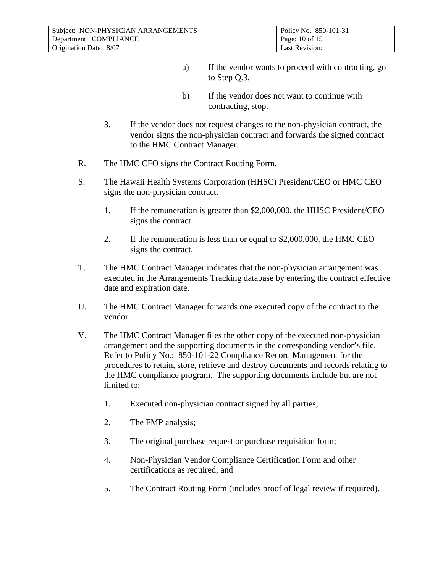| Subject: NON-PHYSICIAN ARRANGEMENTS | Policy No. 850-101-31 |
|-------------------------------------|-----------------------|
| Department: COMPLIANCE              | Page: 10 of 15        |
| Origination Date: 8/07              | <b>Last Revision:</b> |

- a) If the vendor wants to proceed with contracting, go to Step Q.3.
- b) If the vendor does not want to continue with contracting, stop.
- 3. If the vendor does not request changes to the non-physician contract, the vendor signs the non-physician contract and forwards the signed contract to the HMC Contract Manager.
- R. The HMC CFO signs the Contract Routing Form.
- S. The Hawaii Health Systems Corporation (HHSC) President/CEO or HMC CEO signs the non-physician contract.
	- 1. If the remuneration is greater than \$2,000,000, the HHSC President/CEO signs the contract.
	- 2. If the remuneration is less than or equal to \$2,000,000, the HMC CEO signs the contract.
- T. The HMC Contract Manager indicates that the non-physician arrangement was executed in the Arrangements Tracking database by entering the contract effective date and expiration date.
- U. The HMC Contract Manager forwards one executed copy of the contract to the vendor.
- V. The HMC Contract Manager files the other copy of the executed non-physician arrangement and the supporting documents in the corresponding vendor's file. Refer to Policy No.: 850-101-22 Compliance Record Management for the procedures to retain, store, retrieve and destroy documents and records relating to the HMC compliance program. The supporting documents include but are not limited to:
	- 1. Executed non-physician contract signed by all parties;
	- 2. The FMP analysis;
	- 3. The original purchase request or purchase requisition form;
	- 4. Non-Physician Vendor Compliance Certification Form and other certifications as required; and
	- 5. The Contract Routing Form (includes proof of legal review if required).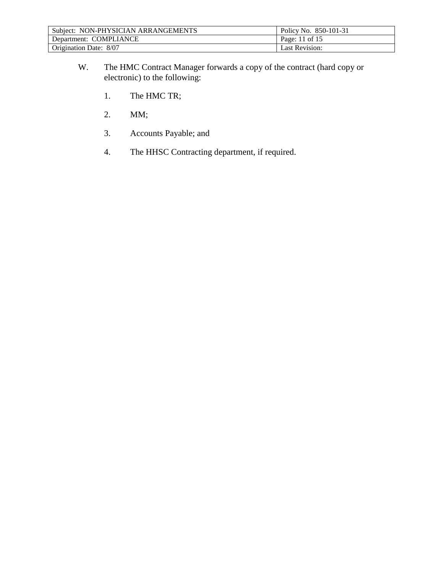| Subject: NON-PHYSICIAN ARRANGEMENTS | Policy No. 850-101-31 |
|-------------------------------------|-----------------------|
| Department: COMPLIANCE              | Page: 11 of 15        |
| Origination Date: 8/07              | Last Revision:        |

- W. The HMC Contract Manager forwards a copy of the contract (hard copy or electronic) to the following:
	- 1. The HMC TR;
	- 2. MM;
	- 3. Accounts Payable; and
	- 4. The HHSC Contracting department, if required.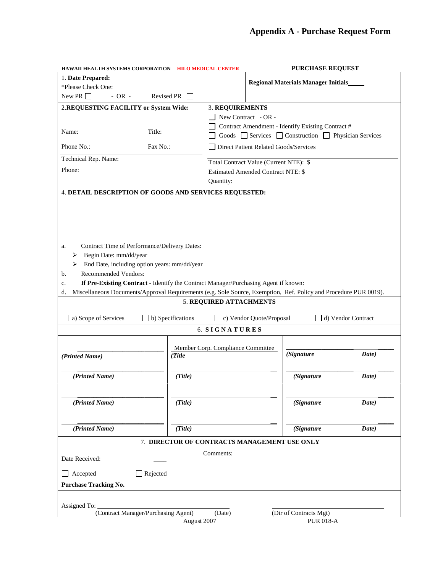| <b>PURCHASE REQUEST</b><br>HAWAII HEALTH SYSTEMS CORPORATION HILO MEDICAL CENTER                                                                                                                                                                                                                                                                                                                                                                                                                                                                                       |                                             |                        |                                                |                                                   |       |  |  |
|------------------------------------------------------------------------------------------------------------------------------------------------------------------------------------------------------------------------------------------------------------------------------------------------------------------------------------------------------------------------------------------------------------------------------------------------------------------------------------------------------------------------------------------------------------------------|---------------------------------------------|------------------------|------------------------------------------------|---------------------------------------------------|-------|--|--|
| 1. Date Prepared:                                                                                                                                                                                                                                                                                                                                                                                                                                                                                                                                                      |                                             |                        |                                                |                                                   |       |  |  |
| *Please Check One:                                                                                                                                                                                                                                                                                                                                                                                                                                                                                                                                                     |                                             |                        | <b>Regional Materials Manager Initials</b>     |                                                   |       |  |  |
| New PR $\Box$<br>- OR -<br>Revised PR                                                                                                                                                                                                                                                                                                                                                                                                                                                                                                                                  |                                             |                        |                                                |                                                   |       |  |  |
| 2.REQUESTING FACILITY or System Wide:                                                                                                                                                                                                                                                                                                                                                                                                                                                                                                                                  |                                             | <b>3. REQUIREMENTS</b> |                                                |                                                   |       |  |  |
|                                                                                                                                                                                                                                                                                                                                                                                                                                                                                                                                                                        |                                             | New Contract - OR -    |                                                |                                                   |       |  |  |
|                                                                                                                                                                                                                                                                                                                                                                                                                                                                                                                                                                        |                                             |                        |                                                | Contract Amendment - Identify Existing Contract # |       |  |  |
| Name:<br>Title:                                                                                                                                                                                                                                                                                                                                                                                                                                                                                                                                                        |                                             |                        | Goods Services Construction Physician Services |                                                   |       |  |  |
| Phone No.:<br>Fax No.:                                                                                                                                                                                                                                                                                                                                                                                                                                                                                                                                                 |                                             |                        | Direct Patient Related Goods/Services          |                                                   |       |  |  |
| Technical Rep. Name:                                                                                                                                                                                                                                                                                                                                                                                                                                                                                                                                                   |                                             |                        |                                                |                                                   |       |  |  |
| Phone:                                                                                                                                                                                                                                                                                                                                                                                                                                                                                                                                                                 |                                             |                        | Total Contract Value (Current NTE): \$         |                                                   |       |  |  |
|                                                                                                                                                                                                                                                                                                                                                                                                                                                                                                                                                                        |                                             |                        | <b>Estimated Amended Contract NTE: \$</b>      |                                                   |       |  |  |
| 4. DETAIL DESCRIPTION OF GOODS AND SERVICES REQUESTED:                                                                                                                                                                                                                                                                                                                                                                                                                                                                                                                 |                                             |                        | Quantity:                                      |                                                   |       |  |  |
| Contract Time of Performance/Delivery Dates:<br>a.<br>$\triangleright$ Begin Date: mm/dd/year<br>End Date, including option years: mm/dd/year<br>$\blacktriangleright$<br>Recommended Vendors:<br>b.<br>If Pre-Existing Contract - Identify the Contract Manager/Purchasing Agent if known:<br>c.<br>Miscellaneous Documents/Approval Requirements (e.g. Sole Source, Exemption, Ref. Policy and Procedure PUR 0019).<br>d.<br>5. REQUIRED ATTACHMENTS<br>b) Specifications<br>a) Scope of Services<br>c) Vendor Quote/Proposal<br>d) Vendor Contract<br>6. SIGNATURES |                                             |                        |                                                |                                                   |       |  |  |
| (Printed Name)                                                                                                                                                                                                                                                                                                                                                                                                                                                                                                                                                         | Member Corp. Compliance Committee<br>(Title |                        |                                                | (Signature                                        | Date) |  |  |
|                                                                                                                                                                                                                                                                                                                                                                                                                                                                                                                                                                        |                                             |                        |                                                |                                                   |       |  |  |
| (Printed Name)                                                                                                                                                                                                                                                                                                                                                                                                                                                                                                                                                         | (Title)                                     |                        |                                                | (Signature                                        | Date) |  |  |
|                                                                                                                                                                                                                                                                                                                                                                                                                                                                                                                                                                        |                                             |                        |                                                |                                                   |       |  |  |
| (Printed Name)                                                                                                                                                                                                                                                                                                                                                                                                                                                                                                                                                         | (Title)                                     |                        |                                                | (Signature                                        | Date) |  |  |
| (Printed Name)                                                                                                                                                                                                                                                                                                                                                                                                                                                                                                                                                         | (Title)                                     |                        |                                                | (Signature                                        | Date) |  |  |
| 7. DIRECTOR OF CONTRACTS MANAGEMENT USE ONLY                                                                                                                                                                                                                                                                                                                                                                                                                                                                                                                           |                                             |                        |                                                |                                                   |       |  |  |
|                                                                                                                                                                                                                                                                                                                                                                                                                                                                                                                                                                        |                                             |                        |                                                |                                                   |       |  |  |
| Date Received:                                                                                                                                                                                                                                                                                                                                                                                                                                                                                                                                                         |                                             | Comments:              |                                                |                                                   |       |  |  |
| $\Box$ Rejected<br>$\Box$ Accepted                                                                                                                                                                                                                                                                                                                                                                                                                                                                                                                                     |                                             |                        |                                                |                                                   |       |  |  |
|                                                                                                                                                                                                                                                                                                                                                                                                                                                                                                                                                                        |                                             |                        |                                                |                                                   |       |  |  |
|                                                                                                                                                                                                                                                                                                                                                                                                                                                                                                                                                                        |                                             |                        |                                                |                                                   |       |  |  |
| <b>Purchase Tracking No.</b>                                                                                                                                                                                                                                                                                                                                                                                                                                                                                                                                           |                                             |                        |                                                |                                                   |       |  |  |
|                                                                                                                                                                                                                                                                                                                                                                                                                                                                                                                                                                        |                                             |                        |                                                |                                                   |       |  |  |
| Assigned To:<br>(Contract Manager/Purchasing Agent)                                                                                                                                                                                                                                                                                                                                                                                                                                                                                                                    |                                             | (Date)                 |                                                | (Dir of Contracts Mgt)                            |       |  |  |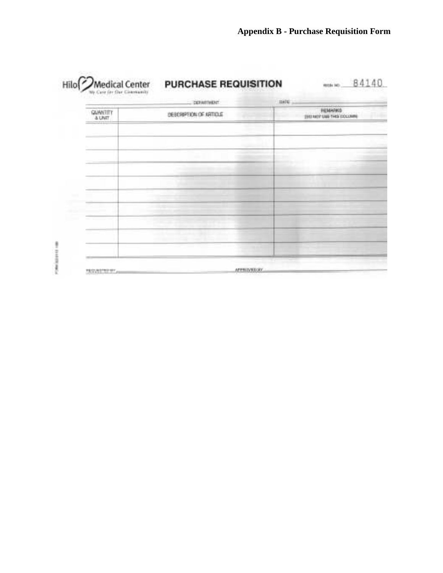|                           | <b>DEFAULTMENT</b>  | <b>Ile E</b>                                           |
|---------------------------|---------------------|--------------------------------------------------------|
| <b>GUNNELLY</b><br>A LINT | SEECHPRON OF ARROLE | <b>HEIMAPROS</b><br>THEFT RATIT STATE THEIR EXCLUSIVES |
|                           |                     |                                                        |
|                           |                     |                                                        |
|                           |                     |                                                        |
|                           |                     |                                                        |
|                           |                     |                                                        |
|                           |                     |                                                        |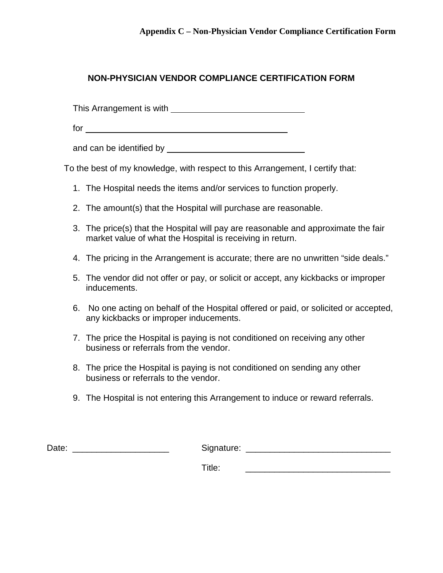## **NON-PHYSICIAN VENDOR COMPLIANCE CERTIFICATION FORM**

This Arrangement is with

for

and can be identified by

To the best of my knowledge, with respect to this Arrangement, I certify that:

- 1. The Hospital needs the items and/or services to function properly.
- 2. The amount(s) that the Hospital will purchase are reasonable.
- 3. The price(s) that the Hospital will pay are reasonable and approximate the fair market value of what the Hospital is receiving in return.
- 4. The pricing in the Arrangement is accurate; there are no unwritten "side deals."
- 5. The vendor did not offer or pay, or solicit or accept, any kickbacks or improper inducements.
- 6. No one acting on behalf of the Hospital offered or paid, or solicited or accepted, any kickbacks or improper inducements.
- 7. The price the Hospital is paying is not conditioned on receiving any other business or referrals from the vendor.
- 8. The price the Hospital is paying is not conditioned on sending any other business or referrals to the vendor.
- 9. The Hospital is not entering this Arrangement to induce or reward referrals.

| Date: | Signature: |
|-------|------------|
|       | Title:     |